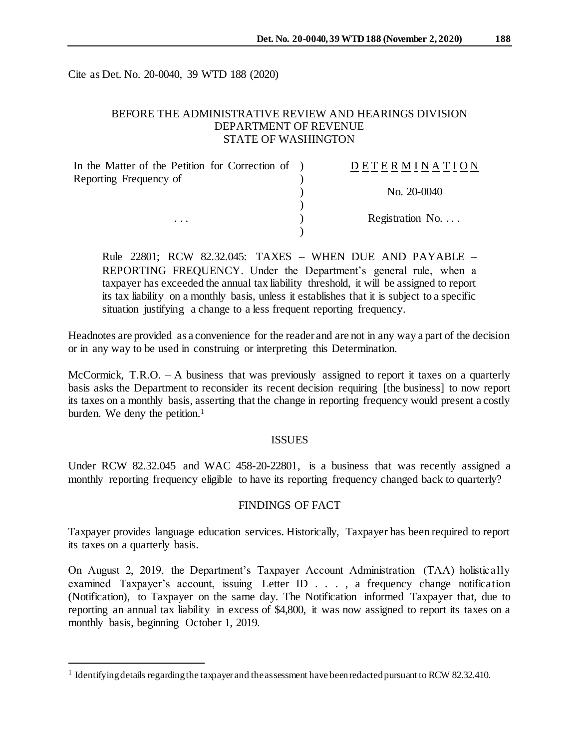Cite as Det. No. 20-0040, 39 WTD 188 (2020)

## BEFORE THE ADMINISTRATIVE REVIEW AND HEARINGS DIVISION DEPARTMENT OF REVENUE STATE OF WASHINGTON

| In the Matter of the Petition for Correction of ) | DETERMINATION            |
|---------------------------------------------------|--------------------------|
| Reporting Frequency of                            |                          |
|                                                   | No. 20-0040              |
|                                                   |                          |
| $\cdots$                                          | Registration No. $\dots$ |
|                                                   |                          |

Rule 22801; RCW 82.32.045: TAXES – WHEN DUE AND PAYABLE – REPORTING FREQUENCY. Under the Department's general rule, when a taxpayer has exceeded the annual tax liability threshold, it will be assigned to report its tax liability on a monthly basis, unless it establishes that it is subject to a specific situation justifying a change to a less frequent reporting frequency.

Headnotes are provided as a convenience for the reader and are not in any way a part of the decision or in any way to be used in construing or interpreting this Determination.

McCormick, T.R.O. – A business that was previously assigned to report it taxes on a quarterly basis asks the Department to reconsider its recent decision requiring [the business] to now report its taxes on a monthly basis, asserting that the change in reporting frequency would present a costly burden. We deny the petition. 1

#### ISSUES

Under RCW 82.32.045 and WAC 458-20-22801, is a business that was recently assigned a monthly reporting frequency eligible to have its reporting frequency changed back to quarterly?

#### FINDINGS OF FACT

Taxpayer provides language education services. Historically, Taxpayer has been required to report its taxes on a quarterly basis.

On August 2, 2019, the Department's Taxpayer Account Administration (TAA) holistically examined Taxpayer's account, issuing Letter ID . . . , a frequency change notification (Notification), to Taxpayer on the same day. The Notification informed Taxpayer that, due to reporting an annual tax liability in excess of \$4,800, it was now assigned to report its taxes on a monthly basis, beginning October 1, 2019.

l

<sup>&</sup>lt;sup>1</sup> Identifying details regarding the taxpayer and the assessment have been redacted pursuant to RCW 82.32.410.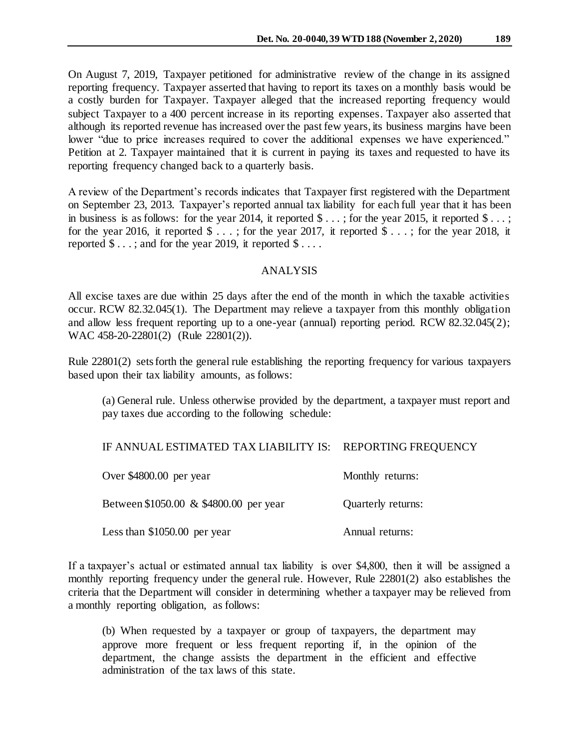On August 7, 2019, Taxpayer petitioned for administrative review of the change in its assigned reporting frequency. Taxpayer asserted that having to report its taxes on a monthly basis would be a costly burden for Taxpayer. Taxpayer alleged that the increased reporting frequency would subject Taxpayer to a 400 percent increase in its reporting expenses. Taxpayer also asserted that although its reported revenue has increased over the past few years, its business margins have been lower "due to price increases required to cover the additional expenses we have experienced." Petition at 2. Taxpayer maintained that it is current in paying its taxes and requested to have its reporting frequency changed back to a quarterly basis.

A review of the Department's records indicates that Taxpayer first registered with the Department on September 23, 2013. Taxpayer's reported annual tax liability for each full year that it has been in business is as follows: for the year 2014, it reported  $\text{\$} \dots$ ; for the year 2015, it reported  $\text{\$} \dots$ ; for the year 2016, it reported  $\text{\$} \dots$ ; for the year 2017, it reported  $\text{\$} \dots$ ; for the year 2018, it reported  $\$\dots$ ; and for the year 2019, it reported  $\$\dots$ .

## ANALYSIS

All excise taxes are due within 25 days after the end of the month in which the taxable activities occur. RCW 82.32.045(1). The Department may relieve a taxpayer from this monthly obligation and allow less frequent reporting up to a one-year (annual) reporting period. RCW 82.32.045(2); WAC 458-20-22801(2) (Rule 22801(2)).

Rule 22801(2) sets forth the general rule establishing the reporting frequency for various taxpayers based upon their tax liability amounts, as follows:

(a) General rule. Unless otherwise provided by the department, a taxpayer must report and pay taxes due according to the following schedule:

## IF ANNUAL ESTIMATED TAX LIABILITY IS: REPORTING FREQUENCY

| Over \$4800.00 per year                | Monthly returns:   |
|----------------------------------------|--------------------|
| Between \$1050.00 & \$4800.00 per year | Quarterly returns: |
| Less than $$1050.00$ per year          | Annual returns:    |

If a taxpayer's actual or estimated annual tax liability is over \$4,800, then it will be assigned a monthly reporting frequency under the general rule. However, Rule 22801(2) also establishes the criteria that the Department will consider in determining whether a taxpayer may be relieved from a monthly reporting obligation, as follows:

(b) When requested by a taxpayer or group of taxpayers, the department may approve more frequent or less frequent reporting if, in the opinion of the department*,* the change assists the department in the efficient and effective administration of the tax laws of this state.